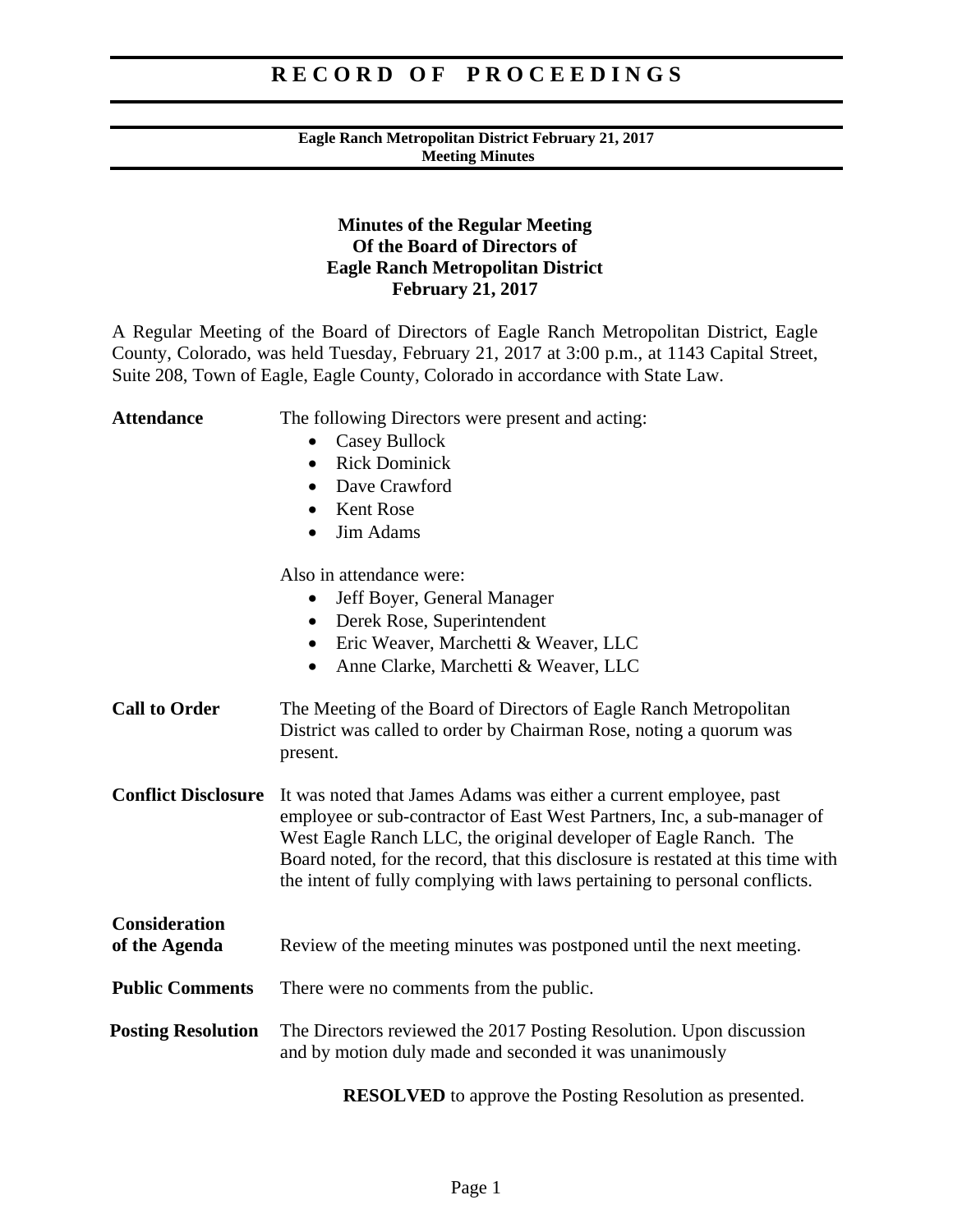#### **Eagle Ranch Metropolitan District February 21, 2017 Meeting Minutes**

### **Minutes of the Regular Meeting Of the Board of Directors of Eagle Ranch Metropolitan District February 21, 2017**

A Regular Meeting of the Board of Directors of Eagle Ranch Metropolitan District, Eagle County, Colorado, was held Tuesday, February 21, 2017 at 3:00 p.m., at 1143 Capital Street, Suite 208, Town of Eagle, Eagle County, Colorado in accordance with State Law.

| <b>Attendance</b>                     | The following Directors were present and acting:                                                                                                                                                                                                                                                                                                                                 |
|---------------------------------------|----------------------------------------------------------------------------------------------------------------------------------------------------------------------------------------------------------------------------------------------------------------------------------------------------------------------------------------------------------------------------------|
|                                       | <b>Casey Bullock</b>                                                                                                                                                                                                                                                                                                                                                             |
|                                       | <b>Rick Dominick</b><br>$\bullet$                                                                                                                                                                                                                                                                                                                                                |
|                                       | Dave Crawford<br>$\bullet$                                                                                                                                                                                                                                                                                                                                                       |
|                                       | <b>Kent Rose</b>                                                                                                                                                                                                                                                                                                                                                                 |
|                                       | Jim Adams<br>$\bullet$                                                                                                                                                                                                                                                                                                                                                           |
|                                       | Also in attendance were:                                                                                                                                                                                                                                                                                                                                                         |
|                                       | Jeff Boyer, General Manager                                                                                                                                                                                                                                                                                                                                                      |
|                                       | Derek Rose, Superintendent<br>$\bullet$                                                                                                                                                                                                                                                                                                                                          |
|                                       | Eric Weaver, Marchetti & Weaver, LLC<br>$\bullet$                                                                                                                                                                                                                                                                                                                                |
|                                       | Anne Clarke, Marchetti & Weaver, LLC<br>$\bullet$                                                                                                                                                                                                                                                                                                                                |
| <b>Call to Order</b>                  | The Meeting of the Board of Directors of Eagle Ranch Metropolitan<br>District was called to order by Chairman Rose, noting a quorum was<br>present.                                                                                                                                                                                                                              |
| <b>Conflict Disclosure</b>            | It was noted that James Adams was either a current employee, past<br>employee or sub-contractor of East West Partners, Inc, a sub-manager of<br>West Eagle Ranch LLC, the original developer of Eagle Ranch. The<br>Board noted, for the record, that this disclosure is restated at this time with<br>the intent of fully complying with laws pertaining to personal conflicts. |
| <b>Consideration</b><br>of the Agenda | Review of the meeting minutes was postponed until the next meeting.                                                                                                                                                                                                                                                                                                              |
| <b>Public Comments</b>                | There were no comments from the public.                                                                                                                                                                                                                                                                                                                                          |
| <b>Posting Resolution</b>             | The Directors reviewed the 2017 Posting Resolution. Upon discussion<br>and by motion duly made and seconded it was unanimously                                                                                                                                                                                                                                                   |
|                                       |                                                                                                                                                                                                                                                                                                                                                                                  |

 **RESOLVED** to approve the Posting Resolution as presented.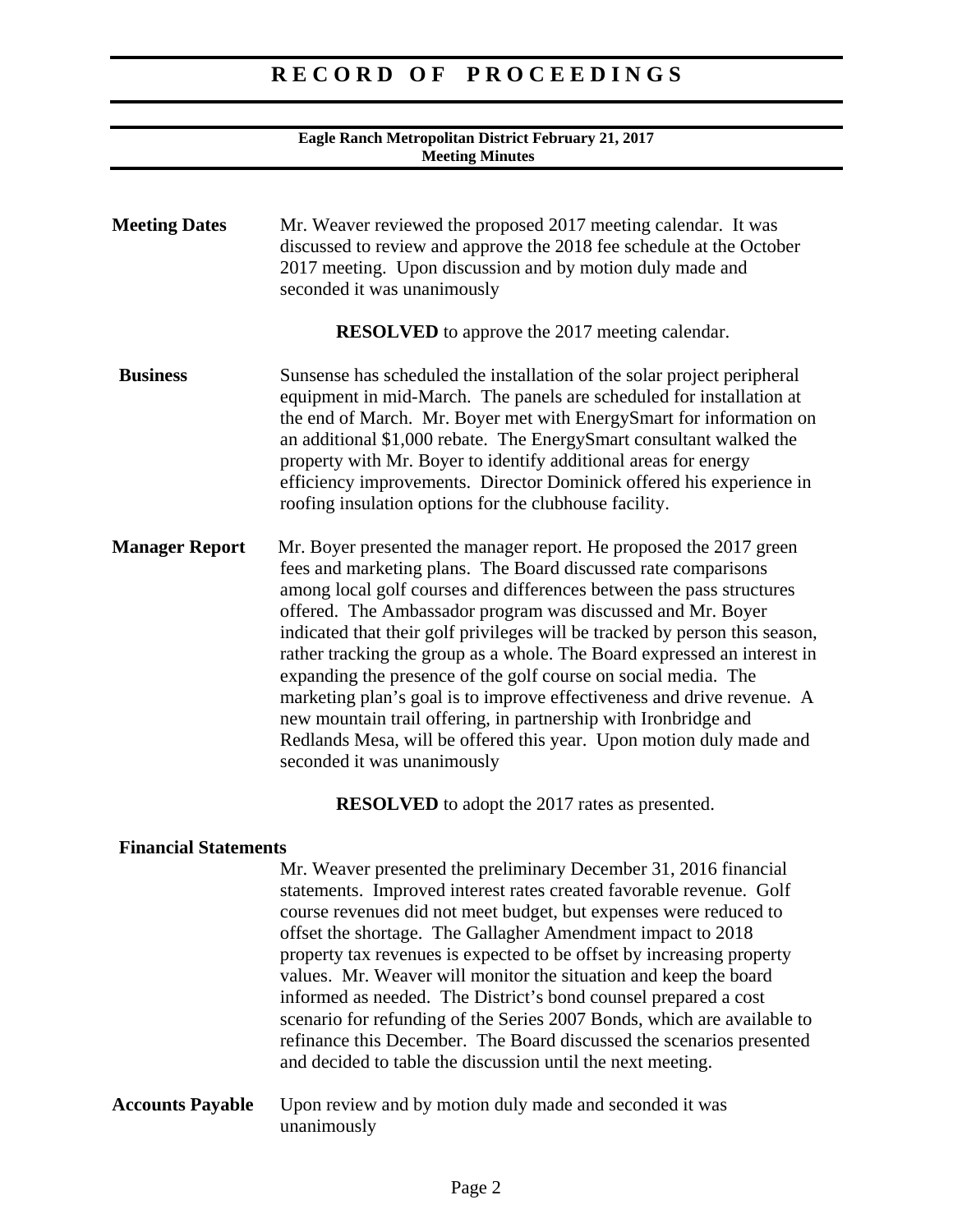#### **Eagle Ranch Metropolitan District February 21, 2017 Meeting Minutes**

| <b>Meeting Dates</b>  | Mr. Weaver reviewed the proposed 2017 meeting calendar. It was<br>discussed to review and approve the 2018 fee schedule at the October<br>2017 meeting. Upon discussion and by motion duly made and<br>seconded it was unanimously                                                                                                                                                                                                                                                                                                                                                                                                                                                                                                                          |
|-----------------------|-------------------------------------------------------------------------------------------------------------------------------------------------------------------------------------------------------------------------------------------------------------------------------------------------------------------------------------------------------------------------------------------------------------------------------------------------------------------------------------------------------------------------------------------------------------------------------------------------------------------------------------------------------------------------------------------------------------------------------------------------------------|
|                       | <b>RESOLVED</b> to approve the 2017 meeting calendar.                                                                                                                                                                                                                                                                                                                                                                                                                                                                                                                                                                                                                                                                                                       |
| <b>Business</b>       | Sunsense has scheduled the installation of the solar project peripheral<br>equipment in mid-March. The panels are scheduled for installation at<br>the end of March. Mr. Boyer met with EnergySmart for information on<br>an additional \$1,000 rebate. The EnergySmart consultant walked the<br>property with Mr. Boyer to identify additional areas for energy<br>efficiency improvements. Director Dominick offered his experience in<br>roofing insulation options for the clubhouse facility.                                                                                                                                                                                                                                                          |
| <b>Manager Report</b> | Mr. Boyer presented the manager report. He proposed the 2017 green<br>fees and marketing plans. The Board discussed rate comparisons<br>among local golf courses and differences between the pass structures<br>offered. The Ambassador program was discussed and Mr. Boyer<br>indicated that their golf privileges will be tracked by person this season,<br>rather tracking the group as a whole. The Board expressed an interest in<br>expanding the presence of the golf course on social media. The<br>marketing plan's goal is to improve effectiveness and drive revenue. A<br>new mountain trail offering, in partnership with Ironbridge and<br>Redlands Mesa, will be offered this year. Upon motion duly made and<br>seconded it was unanimously |
|                       | <b>RESOLVED</b> to adopt the 2017 rates as presented.                                                                                                                                                                                                                                                                                                                                                                                                                                                                                                                                                                                                                                                                                                       |

### **Financial Statements**

 Mr. Weaver presented the preliminary December 31, 2016 financial statements. Improved interest rates created favorable revenue. Golf course revenues did not meet budget, but expenses were reduced to offset the shortage. The Gallagher Amendment impact to 2018 property tax revenues is expected to be offset by increasing property values. Mr. Weaver will monitor the situation and keep the board informed as needed. The District's bond counsel prepared a cost scenario for refunding of the Series 2007 Bonds, which are available to refinance this December. The Board discussed the scenarios presented and decided to table the discussion until the next meeting.

**Accounts Payable** Upon review and by motion duly made and seconded it was unanimously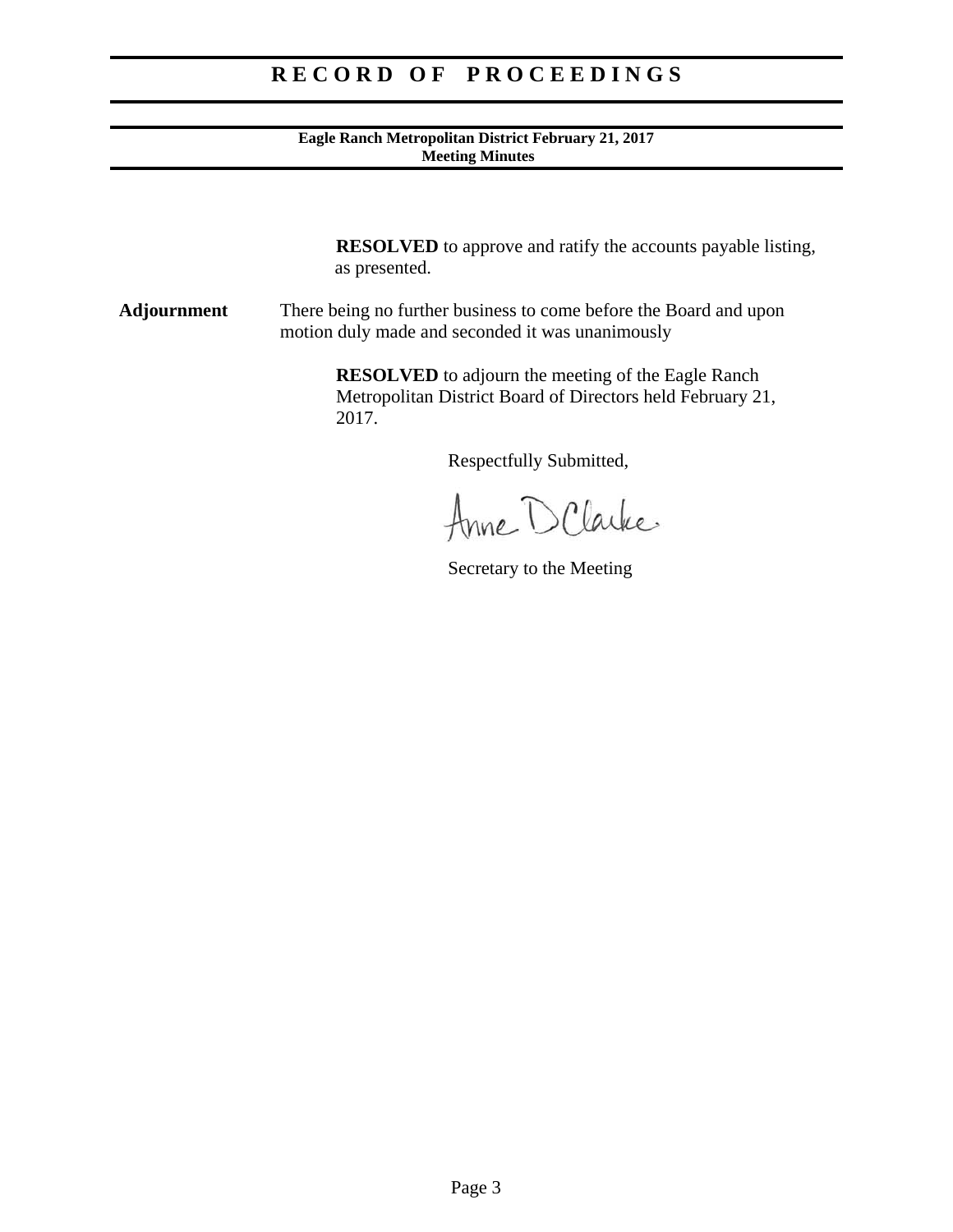#### **Eagle Ranch Metropolitan District February 21, 2017 Meeting Minutes**

**RESOLVED** to approve and ratify the accounts payable listing, as presented.

**Adjournment** There being no further business to come before the Board and upon motion duly made and seconded it was unanimously

> **RESOLVED** to adjourn the meeting of the Eagle Ranch Metropolitan District Board of Directors held February 21, 2017.

Anne D Clarke

Secretary to the Meeting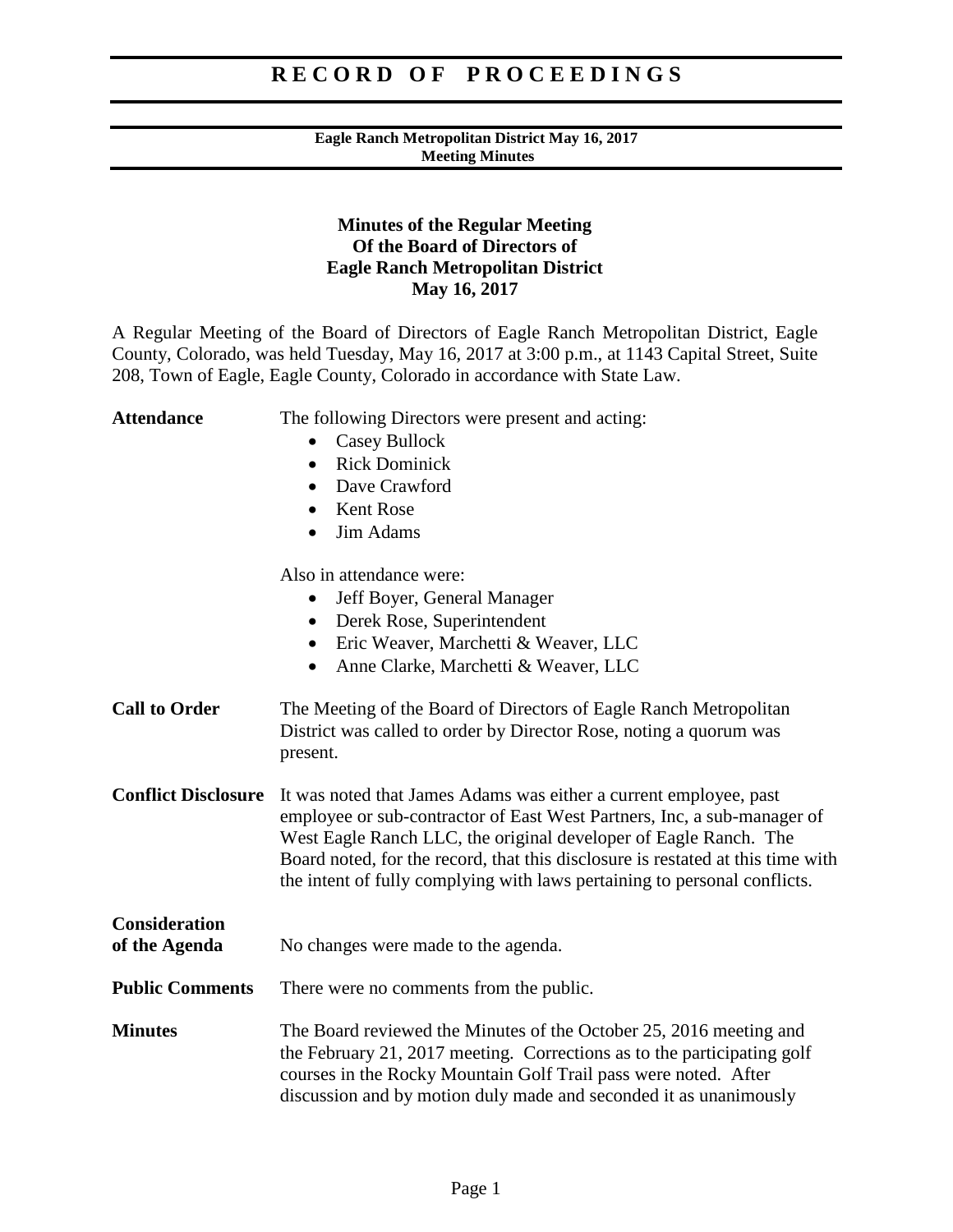#### **Eagle Ranch Metropolitan District May 16, 2017 Meeting Minutes**

### **Minutes of the Regular Meeting Of the Board of Directors of Eagle Ranch Metropolitan District May 16, 2017**

A Regular Meeting of the Board of Directors of Eagle Ranch Metropolitan District, Eagle County, Colorado, was held Tuesday, May 16, 2017 at 3:00 p.m., at 1143 Capital Street, Suite 208, Town of Eagle, Eagle County, Colorado in accordance with State Law.

| <b>Attendance</b>                     | The following Directors were present and acting:<br><b>Casey Bullock</b><br><b>Rick Dominick</b><br>$\bullet$<br>Dave Crawford<br>$\bullet$<br><b>Kent Rose</b><br>$\bullet$<br>Jim Adams<br>$\bullet$                                                                                                                                                                           |
|---------------------------------------|----------------------------------------------------------------------------------------------------------------------------------------------------------------------------------------------------------------------------------------------------------------------------------------------------------------------------------------------------------------------------------|
|                                       | Also in attendance were:<br>Jeff Boyer, General Manager<br>$\bullet$<br>Derek Rose, Superintendent<br>$\bullet$<br>Eric Weaver, Marchetti & Weaver, LLC<br>٠<br>Anne Clarke, Marchetti & Weaver, LLC<br>$\bullet$                                                                                                                                                                |
| <b>Call to Order</b>                  | The Meeting of the Board of Directors of Eagle Ranch Metropolitan<br>District was called to order by Director Rose, noting a quorum was<br>present.                                                                                                                                                                                                                              |
| <b>Conflict Disclosure</b>            | It was noted that James Adams was either a current employee, past<br>employee or sub-contractor of East West Partners, Inc, a sub-manager of<br>West Eagle Ranch LLC, the original developer of Eagle Ranch. The<br>Board noted, for the record, that this disclosure is restated at this time with<br>the intent of fully complying with laws pertaining to personal conflicts. |
| <b>Consideration</b><br>of the Agenda | No changes were made to the agenda.                                                                                                                                                                                                                                                                                                                                              |
| <b>Public Comments</b>                | There were no comments from the public.                                                                                                                                                                                                                                                                                                                                          |
| <b>Minutes</b>                        | The Board reviewed the Minutes of the October 25, 2016 meeting and<br>the February 21, 2017 meeting. Corrections as to the participating golf<br>courses in the Rocky Mountain Golf Trail pass were noted. After<br>discussion and by motion duly made and seconded it as unanimously                                                                                            |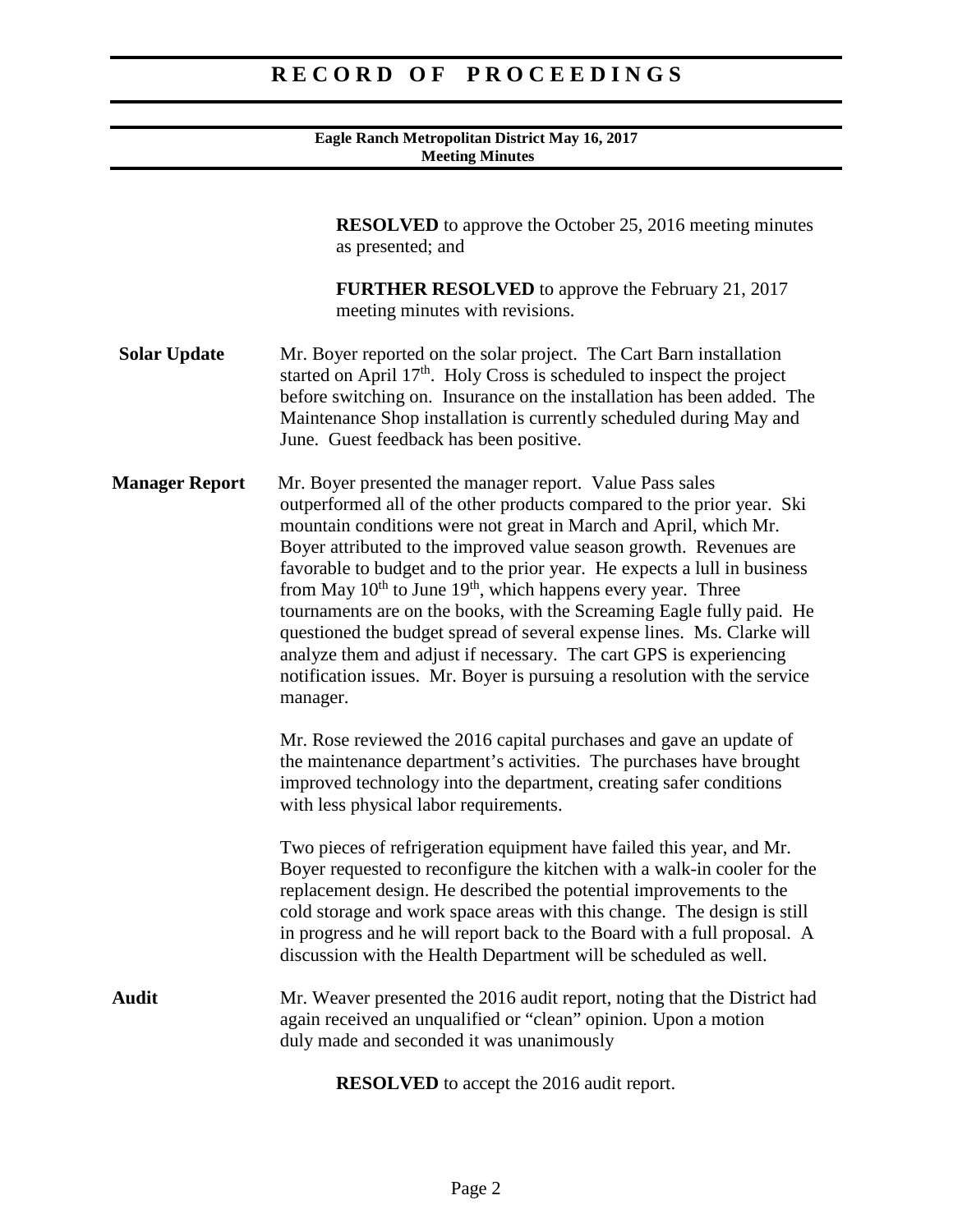#### **Eagle Ranch Metropolitan District May 16, 2017 Meeting Minutes**

**RESOLVED** to approve the October 25, 2016 meeting minutes as presented; and

**FURTHER RESOLVED** to approve the February 21, 2017 meeting minutes with revisions.

- **Solar Update** Mr. Boyer reported on the solar project. The Cart Barn installation started on April  $17<sup>th</sup>$ . Holy Cross is scheduled to inspect the project before switching on. Insurance on the installation has been added. The Maintenance Shop installation is currently scheduled during May and June. Guest feedback has been positive.
- **Manager Report** Mr. Boyer presented the manager report. Value Pass sales outperformed all of the other products compared to the prior year. Ski mountain conditions were not great in March and April, which Mr. Boyer attributed to the improved value season growth. Revenues are favorable to budget and to the prior year. He expects a lull in business from May  $10^{th}$  to June  $19^{th}$ , which happens every year. Three tournaments are on the books, with the Screaming Eagle fully paid. He questioned the budget spread of several expense lines. Ms. Clarke will analyze them and adjust if necessary. The cart GPS is experiencing notification issues. Mr. Boyer is pursuing a resolution with the service manager.

Mr. Rose reviewed the 2016 capital purchases and gave an update of the maintenance department's activities. The purchases have brought improved technology into the department, creating safer conditions with less physical labor requirements.

Two pieces of refrigeration equipment have failed this year, and Mr. Boyer requested to reconfigure the kitchen with a walk-in cooler for the replacement design. He described the potential improvements to the cold storage and work space areas with this change. The design is still in progress and he will report back to the Board with a full proposal. A discussion with the Health Department will be scheduled as well.

Audit Mr. Weaver presented the 2016 audit report, noting that the District had again received an unqualified or "clean" opinion. Upon a motion duly made and seconded it was unanimously

**RESOLVED** to accept the 2016 audit report.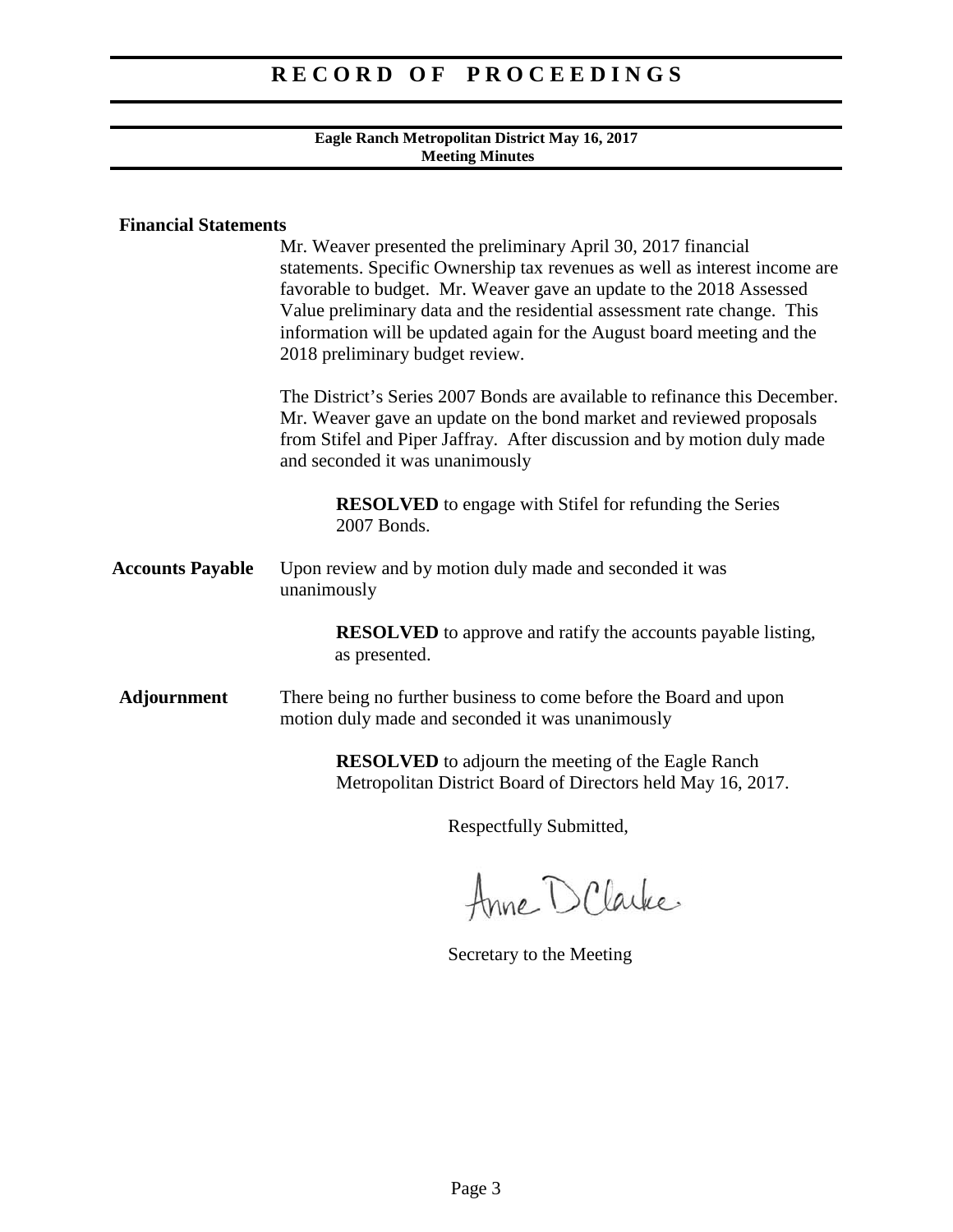#### **Eagle Ranch Metropolitan District May 16, 2017 Meeting Minutes**

### **Financial Statements**

|                         | Mr. Weaver presented the preliminary April 30, 2017 financial<br>statements. Specific Ownership tax revenues as well as interest income are<br>favorable to budget. Mr. Weaver gave an update to the 2018 Assessed<br>Value preliminary data and the residential assessment rate change. This<br>information will be updated again for the August board meeting and the<br>2018 preliminary budget review. |
|-------------------------|------------------------------------------------------------------------------------------------------------------------------------------------------------------------------------------------------------------------------------------------------------------------------------------------------------------------------------------------------------------------------------------------------------|
|                         | The District's Series 2007 Bonds are available to refinance this December.<br>Mr. Weaver gave an update on the bond market and reviewed proposals<br>from Stifel and Piper Jaffray. After discussion and by motion duly made<br>and seconded it was unanimously                                                                                                                                            |
|                         | <b>RESOLVED</b> to engage with Stifel for refunding the Series<br>2007 Bonds.                                                                                                                                                                                                                                                                                                                              |
| <b>Accounts Payable</b> | Upon review and by motion duly made and seconded it was<br>unanimously                                                                                                                                                                                                                                                                                                                                     |
|                         | <b>RESOLVED</b> to approve and ratify the accounts payable listing,<br>as presented.                                                                                                                                                                                                                                                                                                                       |
| <b>Adjournment</b>      | There being no further business to come before the Board and upon<br>motion duly made and seconded it was unanimously                                                                                                                                                                                                                                                                                      |
|                         | <b>RESOLVED</b> to adjourn the meeting of the Eagle Ranch<br>Metropolitan District Board of Directors held May 16, 2017.                                                                                                                                                                                                                                                                                   |
|                         |                                                                                                                                                                                                                                                                                                                                                                                                            |

Anne D Clarke

Secretary to the Meeting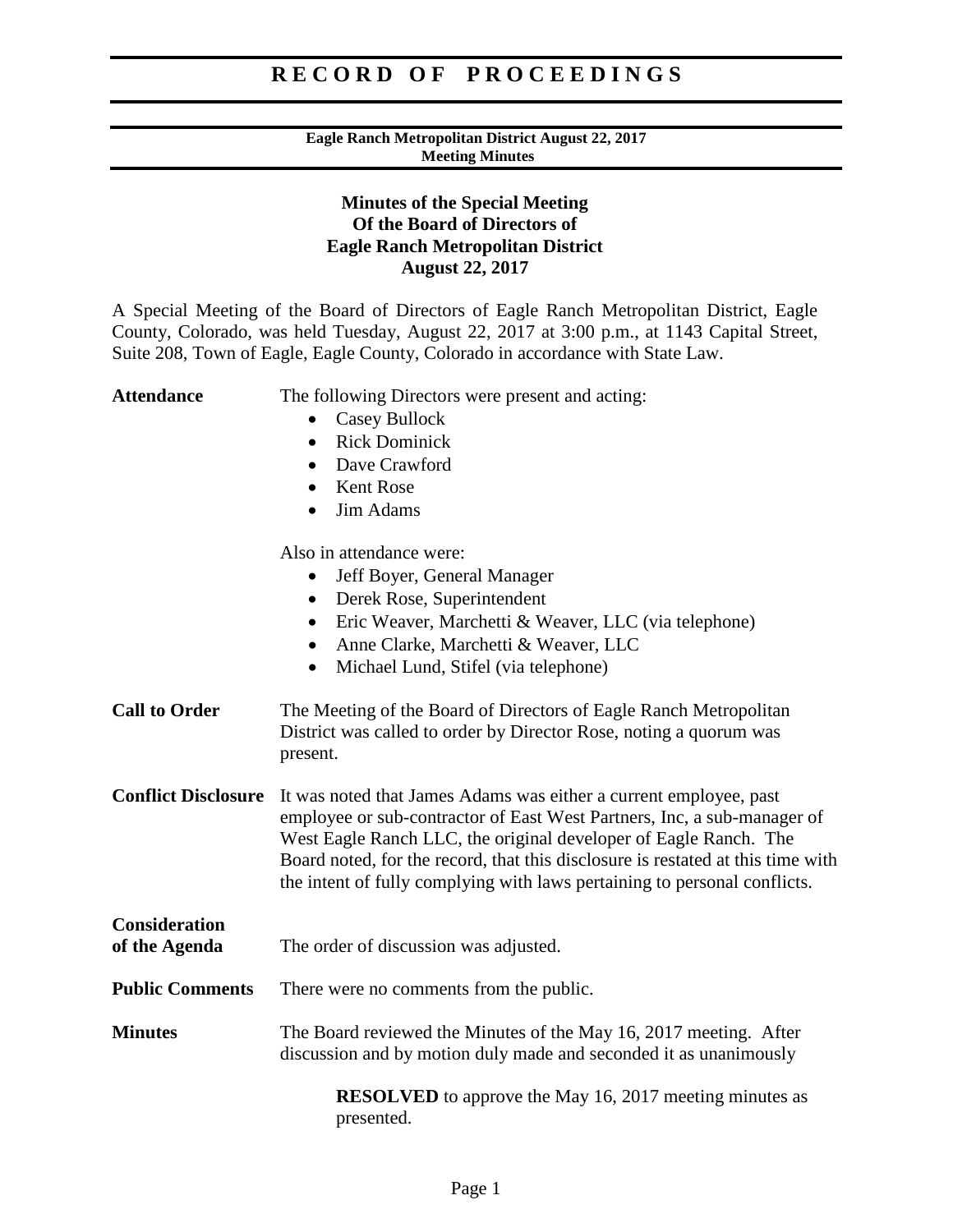#### **Eagle Ranch Metropolitan District August 22, 2017 Meeting Minutes**

### **Minutes of the Special Meeting Of the Board of Directors of Eagle Ranch Metropolitan District August 22, 2017**

A Special Meeting of the Board of Directors of Eagle Ranch Metropolitan District, Eagle County, Colorado, was held Tuesday, August 22, 2017 at 3:00 p.m., at 1143 Capital Street, Suite 208, Town of Eagle, Eagle County, Colorado in accordance with State Law.

Attendance The following Directors were present and acting: • Casey Bullock • Rick Dominick • Dave Crawford • Kent Rose • Jim Adams Also in attendance were: • Jeff Boyer, General Manager • Derek Rose, Superintendent • Eric Weaver, Marchetti & Weaver, LLC (via telephone) • Anne Clarke, Marchetti & Weaver, LLC • Michael Lund, Stifel (via telephone) **Call to Order** The Meeting of the Board of Directors of Eagle Ranch Metropolitan District was called to order by Director Rose, noting a quorum was present. **Conflict Disclosure** It was noted that James Adams was either a current employee, past employee or sub-contractor of East West Partners, Inc, a sub-manager of West Eagle Ranch LLC, the original developer of Eagle Ranch. The Board noted, for the record, that this disclosure is restated at this time with the intent of fully complying with laws pertaining to personal conflicts. **Consideration of the Agenda** The order of discussion was adjusted. **Public Comments** There were no comments from the public. **Minutes** The Board reviewed the Minutes of the May 16, 2017 meeting. After discussion and by motion duly made and seconded it as unanimously **RESOLVED** to approve the May 16, 2017 meeting minutes as presented.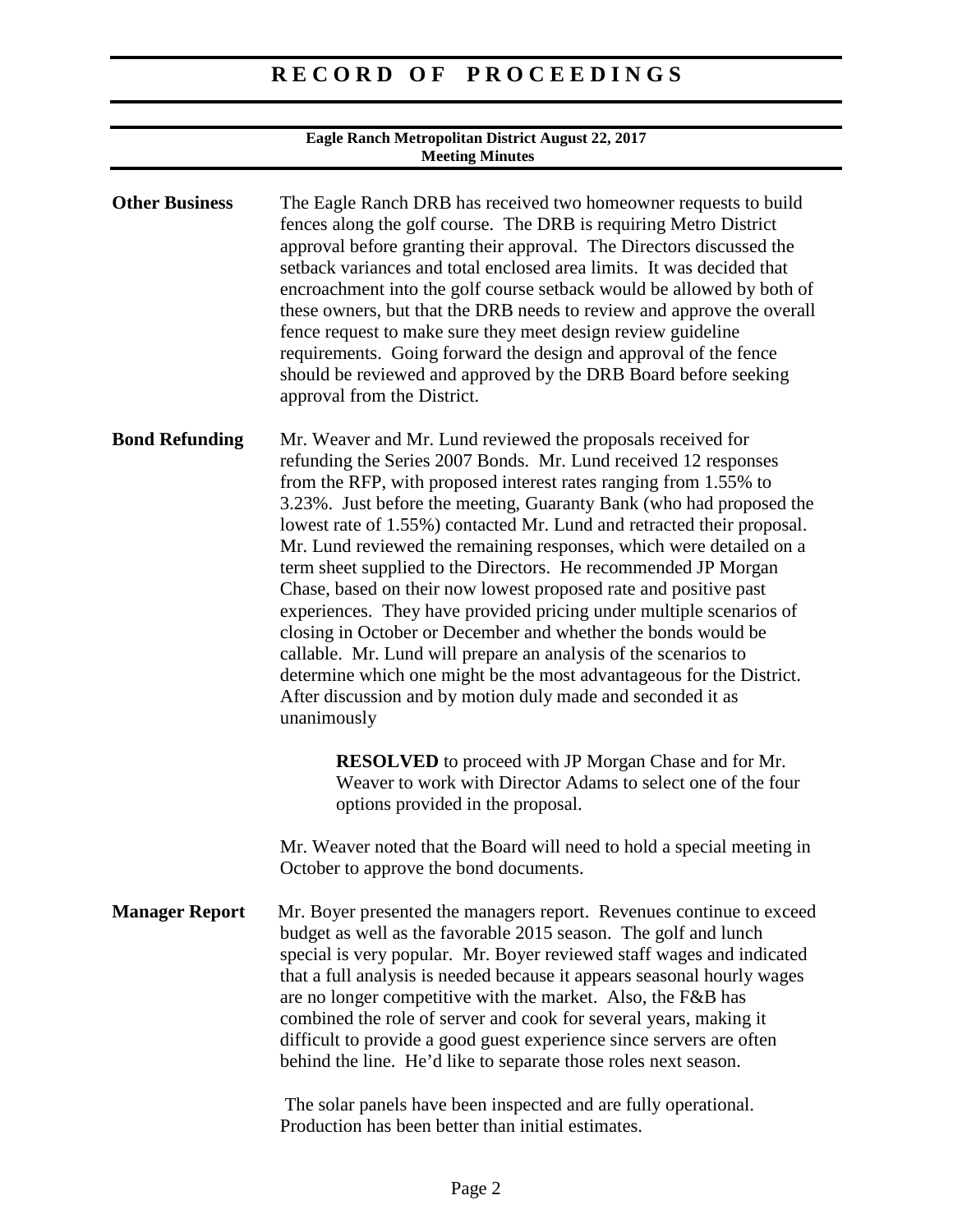| Eagle Ranch Metropolitan District August 22, 2017<br><b>Meeting Minutes</b> |                                                                                                                                                                                                                                                                                                                                                                                                                                                                                                                                                                                                                                                                                                                                                                                                                                                                                                                                   |
|-----------------------------------------------------------------------------|-----------------------------------------------------------------------------------------------------------------------------------------------------------------------------------------------------------------------------------------------------------------------------------------------------------------------------------------------------------------------------------------------------------------------------------------------------------------------------------------------------------------------------------------------------------------------------------------------------------------------------------------------------------------------------------------------------------------------------------------------------------------------------------------------------------------------------------------------------------------------------------------------------------------------------------|
| <b>Other Business</b>                                                       | The Eagle Ranch DRB has received two homeowner requests to build<br>fences along the golf course. The DRB is requiring Metro District<br>approval before granting their approval. The Directors discussed the<br>setback variances and total enclosed area limits. It was decided that<br>encroachment into the golf course setback would be allowed by both of<br>these owners, but that the DRB needs to review and approve the overall<br>fence request to make sure they meet design review guideline<br>requirements. Going forward the design and approval of the fence<br>should be reviewed and approved by the DRB Board before seeking<br>approval from the District.                                                                                                                                                                                                                                                   |
| <b>Bond Refunding</b>                                                       | Mr. Weaver and Mr. Lund reviewed the proposals received for<br>refunding the Series 2007 Bonds. Mr. Lund received 12 responses<br>from the RFP, with proposed interest rates ranging from 1.55% to<br>3.23%. Just before the meeting, Guaranty Bank (who had proposed the<br>lowest rate of 1.55%) contacted Mr. Lund and retracted their proposal.<br>Mr. Lund reviewed the remaining responses, which were detailed on a<br>term sheet supplied to the Directors. He recommended JP Morgan<br>Chase, based on their now lowest proposed rate and positive past<br>experiences. They have provided pricing under multiple scenarios of<br>closing in October or December and whether the bonds would be<br>callable. Mr. Lund will prepare an analysis of the scenarios to<br>determine which one might be the most advantageous for the District.<br>After discussion and by motion duly made and seconded it as<br>unanimously |
|                                                                             | <b>RESOLVED</b> to proceed with JP Morgan Chase and for Mr.<br>Weaver to work with Director Adams to select one of the four<br>options provided in the proposal.<br>Mr. Weaver noted that the Board will need to hold a special meeting in<br>October to approve the bond documents.                                                                                                                                                                                                                                                                                                                                                                                                                                                                                                                                                                                                                                              |
| <b>Manager Report</b>                                                       | Mr. Boyer presented the managers report. Revenues continue to exceed<br>budget as well as the favorable 2015 season. The golf and lunch<br>special is very popular. Mr. Boyer reviewed staff wages and indicated<br>that a full analysis is needed because it appears seasonal hourly wages<br>are no longer competitive with the market. Also, the F&B has<br>combined the role of server and cook for several years, making it<br>difficult to provide a good guest experience since servers are often<br>behind the line. He'd like to separate those roles next season.                                                                                                                                                                                                                                                                                                                                                       |

The solar panels have been inspected and are fully operational. Production has been better than initial estimates.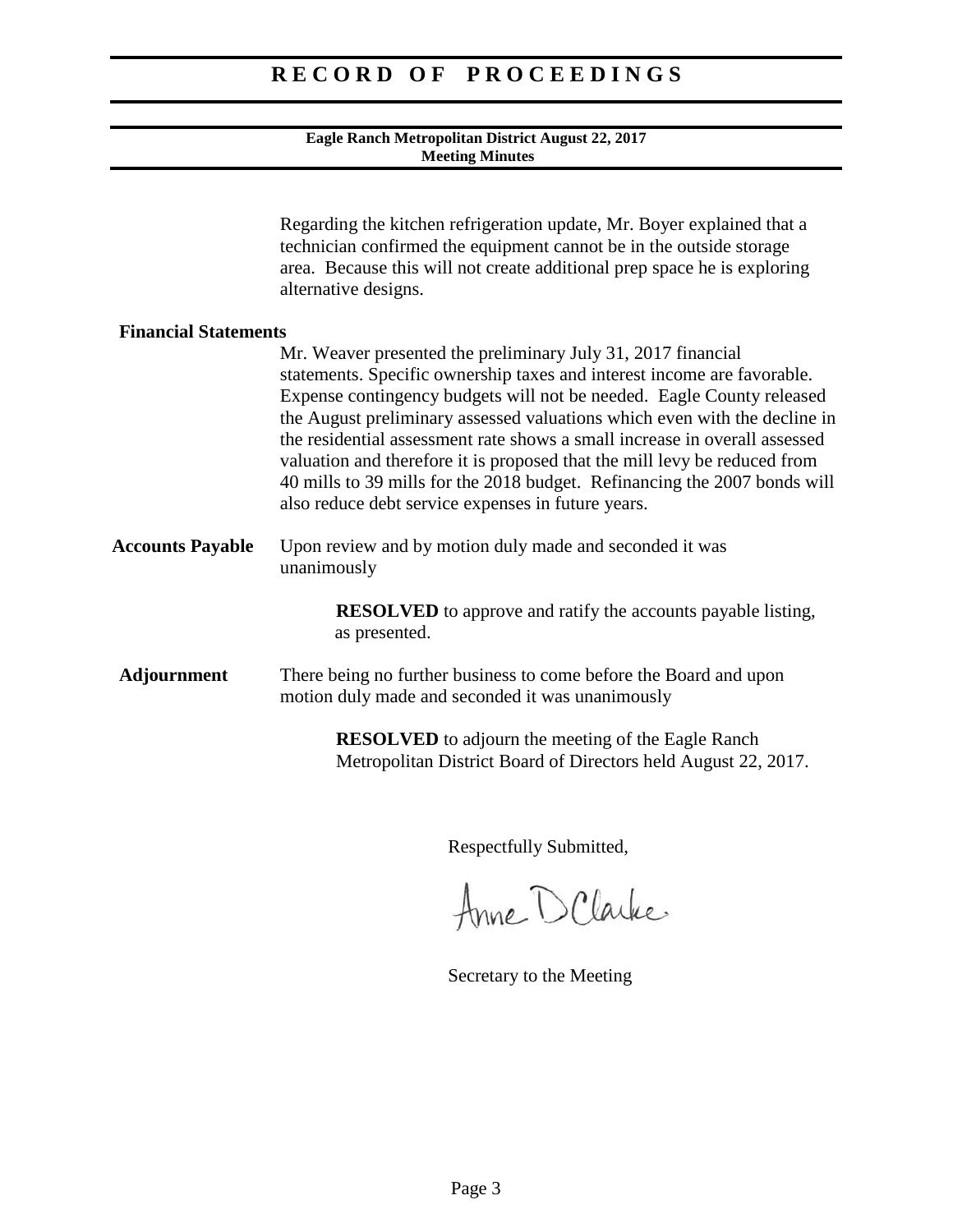#### **Eagle Ranch Metropolitan District August 22, 2017 Meeting Minutes**

|                             | Regarding the kitchen refrigeration update, Mr. Boyer explained that a<br>technician confirmed the equipment cannot be in the outside storage<br>area. Because this will not create additional prep space he is exploring<br>alternative designs.                                                                                                                                                                                                                                                                                                                                           |
|-----------------------------|---------------------------------------------------------------------------------------------------------------------------------------------------------------------------------------------------------------------------------------------------------------------------------------------------------------------------------------------------------------------------------------------------------------------------------------------------------------------------------------------------------------------------------------------------------------------------------------------|
| <b>Financial Statements</b> | Mr. Weaver presented the preliminary July 31, 2017 financial<br>statements. Specific ownership taxes and interest income are favorable.<br>Expense contingency budgets will not be needed. Eagle County released<br>the August preliminary assessed valuations which even with the decline in<br>the residential assessment rate shows a small increase in overall assessed<br>valuation and therefore it is proposed that the mill levy be reduced from<br>40 mills to 39 mills for the 2018 budget. Refinancing the 2007 bonds will<br>also reduce debt service expenses in future years. |
| <b>Accounts Payable</b>     | Upon review and by motion duly made and seconded it was<br>unanimously                                                                                                                                                                                                                                                                                                                                                                                                                                                                                                                      |
|                             | <b>RESOLVED</b> to approve and ratify the accounts payable listing,<br>as presented.                                                                                                                                                                                                                                                                                                                                                                                                                                                                                                        |
| <b>Adjournment</b>          | There being no further business to come before the Board and upon<br>motion duly made and seconded it was unanimously                                                                                                                                                                                                                                                                                                                                                                                                                                                                       |
|                             | <b>RESOLVED</b> to adjourn the meeting of the Eagle Ranch<br>Metropolitan District Board of Directors held August 22, 2017.                                                                                                                                                                                                                                                                                                                                                                                                                                                                 |

Anne D Clarke

Secretary to the Meeting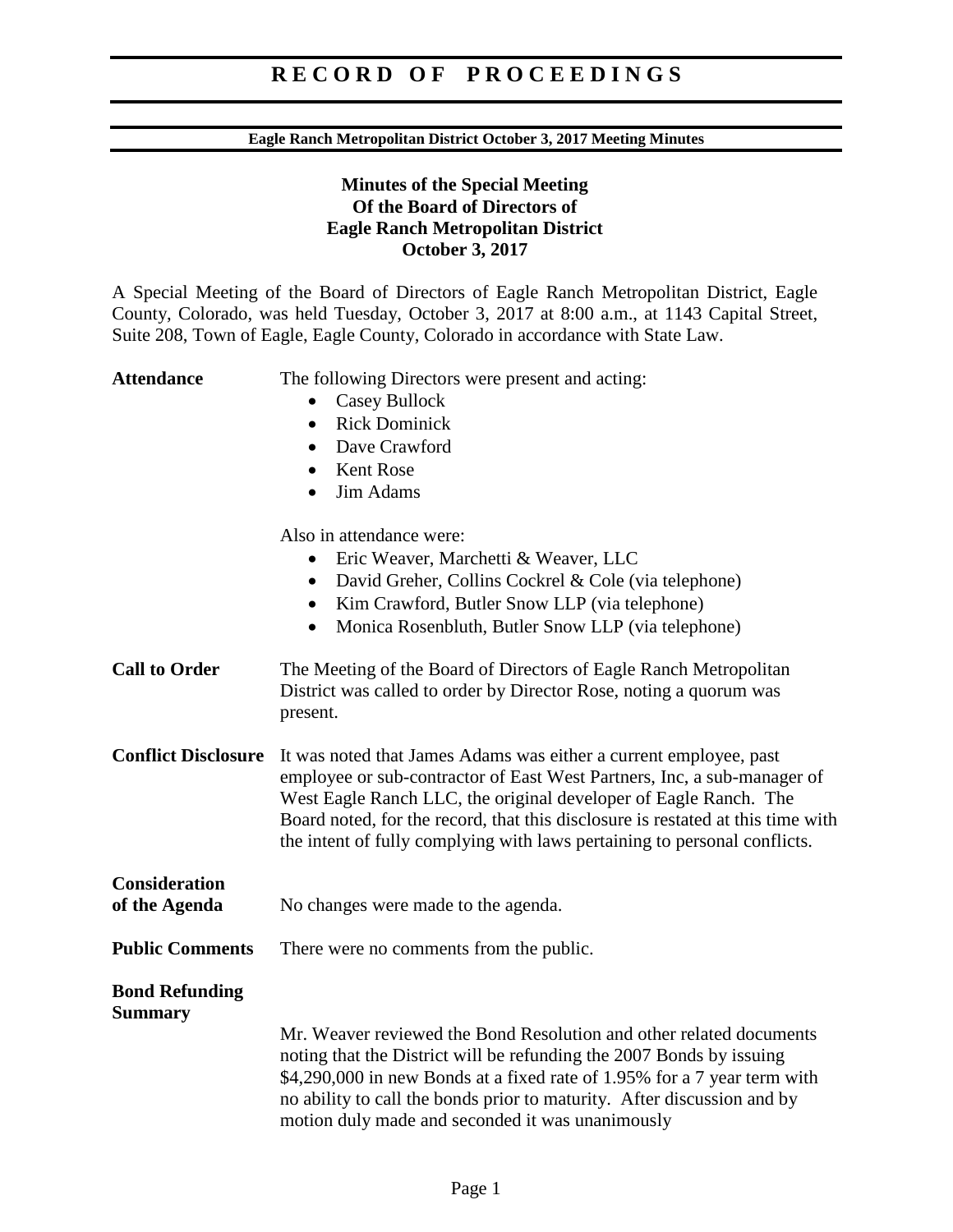#### **Eagle Ranch Metropolitan District October 3, 2017 Meeting Minutes**

### **Minutes of the Special Meeting Of the Board of Directors of Eagle Ranch Metropolitan District October 3, 2017**

A Special Meeting of the Board of Directors of Eagle Ranch Metropolitan District, Eagle County, Colorado, was held Tuesday, October 3, 2017 at 8:00 a.m., at 1143 Capital Street, Suite 208, Town of Eagle, Eagle County, Colorado in accordance with State Law.

Attendance The following Directors were present and acting: • Casey Bullock • Rick Dominick • Dave Crawford • Kent Rose • Jim Adams Also in attendance were: • Eric Weaver, Marchetti & Weaver, LLC • David Greher, Collins Cockrel & Cole (via telephone) • Kim Crawford, Butler Snow LLP (via telephone) • Monica Rosenbluth, Butler Snow LLP (via telephone) **Call to Order** The Meeting of the Board of Directors of Eagle Ranch Metropolitan District was called to order by Director Rose, noting a quorum was present. **Conflict Disclosure** It was noted that James Adams was either a current employee, past employee or sub-contractor of East West Partners, Inc, a sub-manager of West Eagle Ranch LLC, the original developer of Eagle Ranch. The Board noted, for the record, that this disclosure is restated at this time with the intent of fully complying with laws pertaining to personal conflicts. **Consideration of the Agenda** No changes were made to the agenda. **Public Comments** There were no comments from the public. **Bond Refunding Summary** Mr. Weaver reviewed the Bond Resolution and other related documents noting that the District will be refunding the 2007 Bonds by issuing \$4,290,000 in new Bonds at a fixed rate of 1.95% for a 7 year term with no ability to call the bonds prior to maturity. After discussion and by motion duly made and seconded it was unanimously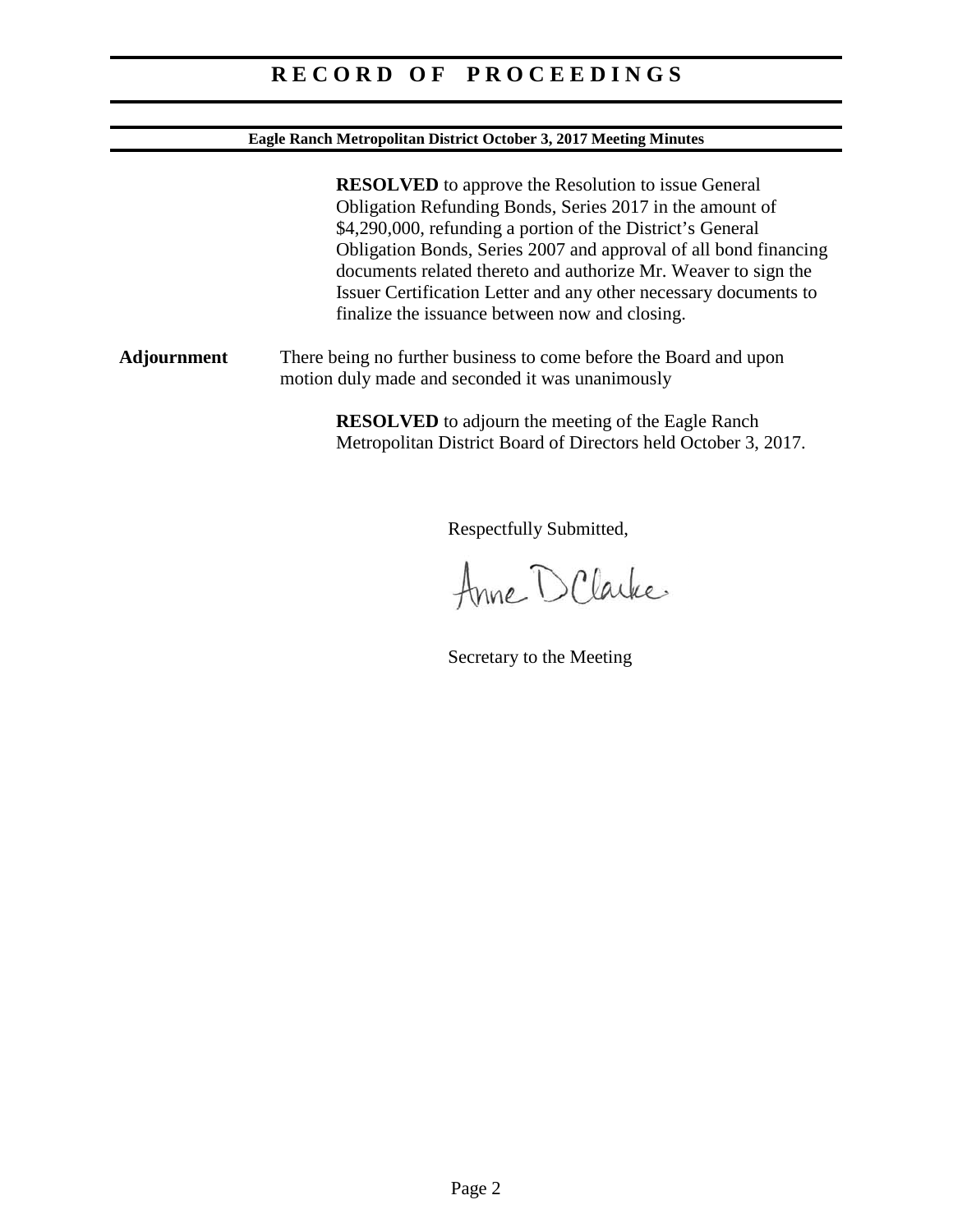#### **Eagle Ranch Metropolitan District October 3, 2017 Meeting Minutes**

**RESOLVED** to approve the Resolution to issue General Obligation Refunding Bonds, Series 2017 in the amount of \$4,290,000, refunding a portion of the District's General Obligation Bonds, Series 2007 and approval of all bond financing documents related thereto and authorize Mr. Weaver to sign the Issuer Certification Letter and any other necessary documents to finalize the issuance between now and closing. **Adjournment** There being no further business to come before the Board and upon motion duly made and seconded it was unanimously **RESOLVED** to adjourn the meeting of the Eagle Ranch Metropolitan District Board of Directors held October 3, 2017.

Respectfully Submitted,

Anne D Clarke

Secretary to the Meeting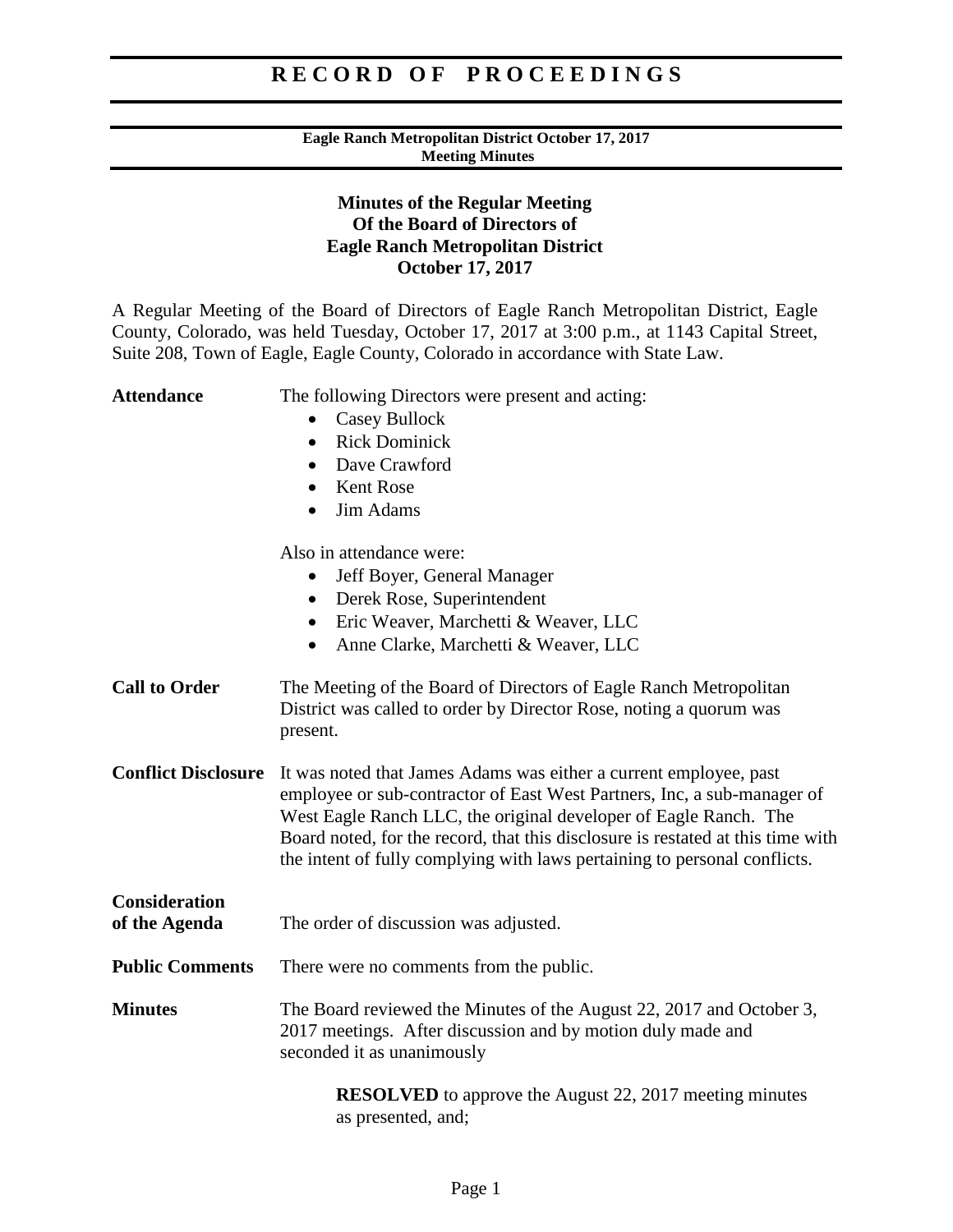#### **Eagle Ranch Metropolitan District October 17, 2017 Meeting Minutes**

### **Minutes of the Regular Meeting Of the Board of Directors of Eagle Ranch Metropolitan District October 17, 2017**

A Regular Meeting of the Board of Directors of Eagle Ranch Metropolitan District, Eagle County, Colorado, was held Tuesday, October 17, 2017 at 3:00 p.m., at 1143 Capital Street, Suite 208, Town of Eagle, Eagle County, Colorado in accordance with State Law.

| <b>Attendance</b>                     | The following Directors were present and acting:<br><b>Casey Bullock</b><br>$\bullet$<br><b>Rick Dominick</b><br>$\bullet$<br>Dave Crawford<br>$\bullet$<br><b>Kent Rose</b><br>$\bullet$<br>Jim Adams<br>$\bullet$                                                                                                                                                              |
|---------------------------------------|----------------------------------------------------------------------------------------------------------------------------------------------------------------------------------------------------------------------------------------------------------------------------------------------------------------------------------------------------------------------------------|
|                                       | Also in attendance were:<br>Jeff Boyer, General Manager<br>Derek Rose, Superintendent<br>$\bullet$<br>Eric Weaver, Marchetti & Weaver, LLC<br>$\bullet$<br>Anne Clarke, Marchetti & Weaver, LLC<br>$\bullet$                                                                                                                                                                     |
| <b>Call to Order</b>                  | The Meeting of the Board of Directors of Eagle Ranch Metropolitan<br>District was called to order by Director Rose, noting a quorum was<br>present.                                                                                                                                                                                                                              |
| <b>Conflict Disclosure</b>            | It was noted that James Adams was either a current employee, past<br>employee or sub-contractor of East West Partners, Inc, a sub-manager of<br>West Eagle Ranch LLC, the original developer of Eagle Ranch. The<br>Board noted, for the record, that this disclosure is restated at this time with<br>the intent of fully complying with laws pertaining to personal conflicts. |
| <b>Consideration</b><br>of the Agenda | The order of discussion was adjusted.                                                                                                                                                                                                                                                                                                                                            |
| <b>Public Comments</b>                | There were no comments from the public.                                                                                                                                                                                                                                                                                                                                          |
| <b>Minutes</b>                        | The Board reviewed the Minutes of the August 22, 2017 and October 3,<br>2017 meetings. After discussion and by motion duly made and<br>seconded it as unanimously                                                                                                                                                                                                                |
|                                       | <b>RESOLVED</b> to approve the August 22, 2017 meeting minutes<br>as presented, and;                                                                                                                                                                                                                                                                                             |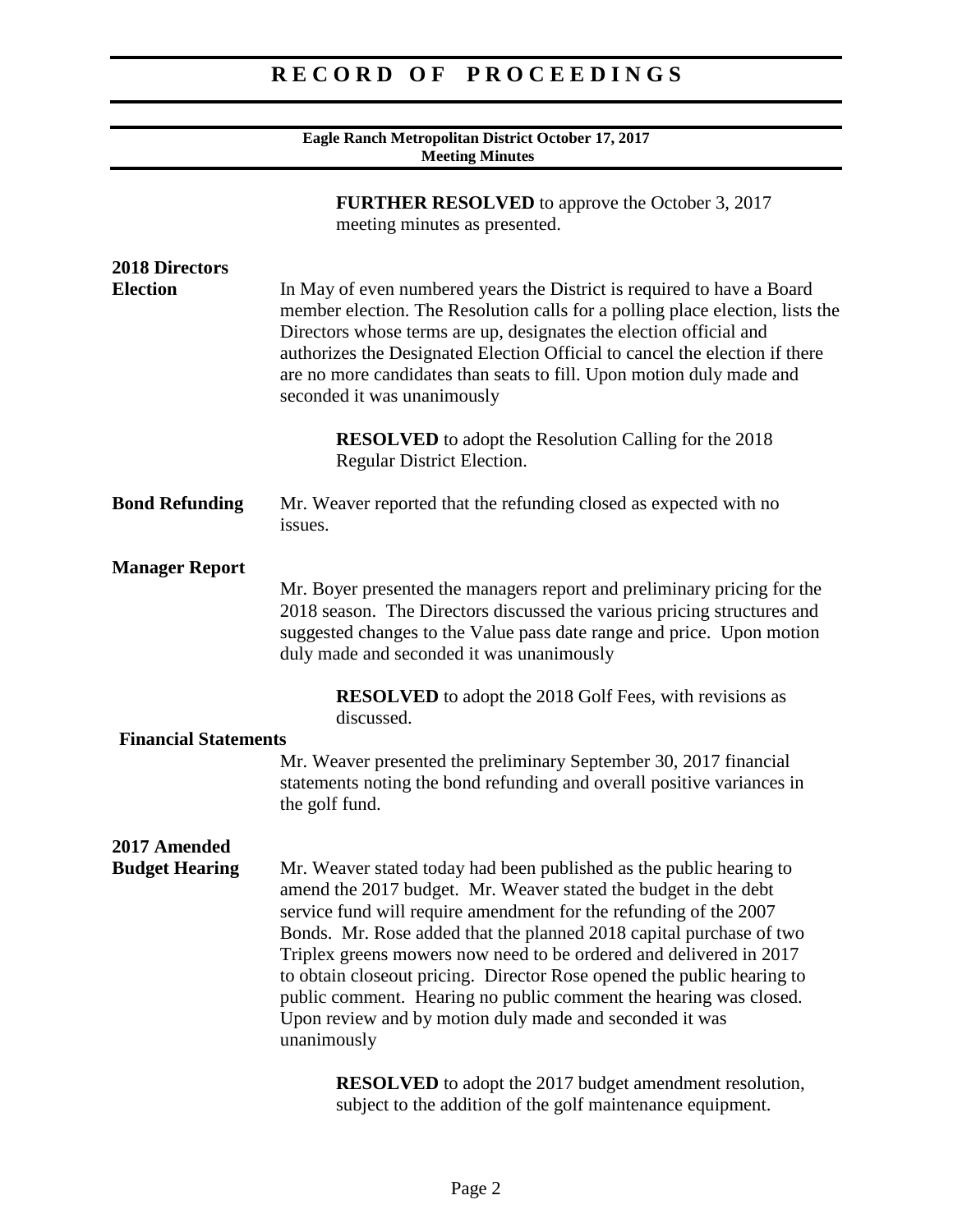| Eagle Ranch Metropolitan District October 17, 2017<br><b>Meeting Minutes</b>            |                                                                                                                                                                                                                                                                                                                                                                                                                                                                                                                                                                                   |
|-----------------------------------------------------------------------------------------|-----------------------------------------------------------------------------------------------------------------------------------------------------------------------------------------------------------------------------------------------------------------------------------------------------------------------------------------------------------------------------------------------------------------------------------------------------------------------------------------------------------------------------------------------------------------------------------|
| <b>FURTHER RESOLVED</b> to approve the October 3, 2017<br>meeting minutes as presented. |                                                                                                                                                                                                                                                                                                                                                                                                                                                                                                                                                                                   |
| <b>2018 Directors</b><br><b>Election</b>                                                | In May of even numbered years the District is required to have a Board<br>member election. The Resolution calls for a polling place election, lists the<br>Directors whose terms are up, designates the election official and<br>authorizes the Designated Election Official to cancel the election if there<br>are no more candidates than seats to fill. Upon motion duly made and<br>seconded it was unanimously                                                                                                                                                               |
|                                                                                         | <b>RESOLVED</b> to adopt the Resolution Calling for the 2018<br>Regular District Election.                                                                                                                                                                                                                                                                                                                                                                                                                                                                                        |
| <b>Bond Refunding</b>                                                                   | Mr. Weaver reported that the refunding closed as expected with no<br>issues.                                                                                                                                                                                                                                                                                                                                                                                                                                                                                                      |
| <b>Manager Report</b>                                                                   | Mr. Boyer presented the managers report and preliminary pricing for the<br>2018 season. The Directors discussed the various pricing structures and<br>suggested changes to the Value pass date range and price. Upon motion<br>duly made and seconded it was unanimously                                                                                                                                                                                                                                                                                                          |
|                                                                                         | <b>RESOLVED</b> to adopt the 2018 Golf Fees, with revisions as<br>discussed.                                                                                                                                                                                                                                                                                                                                                                                                                                                                                                      |
| <b>Financial Statements</b>                                                             |                                                                                                                                                                                                                                                                                                                                                                                                                                                                                                                                                                                   |
|                                                                                         | Mr. Weaver presented the preliminary September 30, 2017 financial<br>statements noting the bond refunding and overall positive variances in<br>the golf fund.                                                                                                                                                                                                                                                                                                                                                                                                                     |
| 2017 Amended<br><b>Budget Hearing</b>                                                   | Mr. Weaver stated today had been published as the public hearing to<br>amend the 2017 budget. Mr. Weaver stated the budget in the debt<br>service fund will require amendment for the refunding of the 2007<br>Bonds. Mr. Rose added that the planned 2018 capital purchase of two<br>Triplex greens mowers now need to be ordered and delivered in 2017<br>to obtain closeout pricing. Director Rose opened the public hearing to<br>public comment. Hearing no public comment the hearing was closed.<br>Upon review and by motion duly made and seconded it was<br>unanimously |
|                                                                                         | <b>RESOLVED</b> to adopt the 2017 budget amendment resolution,<br>subject to the addition of the golf maintenance equipment.                                                                                                                                                                                                                                                                                                                                                                                                                                                      |